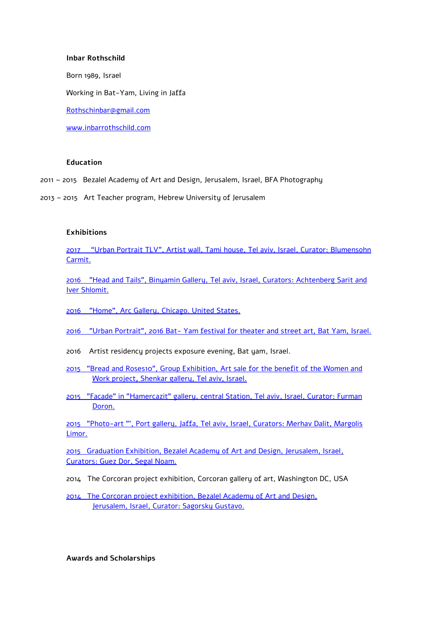#### **Inbar Rothschild**

Born 1989, Israel

Working in Bat-Yam, Living in Jaffa

[Rothschinbar@gmail.com](mailto:Rothschinbar@gmail.com)

[www.inbarrothschild.com](http://www.inbarrothschild.com/)

# **Education**

- 2011 2015 Bezalel Academy of Art and Design, Jerusalem, Israel, BFA Photography
- 2013 2015 Art Teacher program, Hebrew University of Jerusalem

# **Exhibitions**

2017 "Urban Portrait TLV", Artist wall, [Tami house, Tel aviv, Israel, Curator: Blumensohn](https://www.tel-aviv.gov.il/Pages/ItemPage.aspx?webId=3af57d92-807c-43c5-8d5f-6fd455eb2776&listId=5a9823a9-22cf-40a3-8a59-e9f3305db983&itemId=2807) [Carmit.](https://www.tel-aviv.gov.il/Pages/ItemPage.aspx?webId=3af57d92-807c-43c5-8d5f-6fd455eb2776&listId=5a9823a9-22cf-40a3-8a59-e9f3305db983&itemId=2807)

[2016 "Head and Tails", Binyamin Gallery, Tel aviv, Israel, Curators: Achtenberg](http://www.binyamin-gallery.com/p481911704) Sarit and [Iver Shlomit.](http://www.binyamin-gallery.com/p481911704)

[2016 "Home", Arc Gallery, Chicago. United States.](http://www.arcgallery.org/homeshow/)

2016 "Urban Portrait", 2016 Bat- [Yam festival for theater and street art, Bat Yam, Israel.](http://batyamfest.co.il/shows/%D7%A4%D7%95%D7%A8%D7%98%D7%A8%D7%98-%D7%A2%D7%99%D7%A8%D7%95%D7%A0%D7%99/)

- 2016 Artist residency projects exposure evening, Bat yam, Israel.
- [2015 "Bread and Roses10", Group Exhibition, Art](http://breadandroses.org.il/artist/%D7%A2%D7%A0%D7%91%D7%A8-%D7%A8%D7%95%D7%98%D7%A9%D7%99%D7%9C%D7%93) sale for the benefit of the Women and Work project**,** [Shenkar gallery, Tel aviv, Israel.](http://breadandroses.org.il/artist/%D7%A2%D7%A0%D7%91%D7%A8-%D7%A8%D7%95%D7%98%D7%A9%D7%99%D7%9C%D7%93)
- [2015 "Facade" in "Hamercazit" gallery, central Station, Tel aviv, Israel, Curator: Furman](http://heyevent.com/event/kzuexcbvl2fpqa/)  [Doron.](http://heyevent.com/event/kzuexcbvl2fpqa/)

[2015 "Photo-art "', Port gallery, Jaffa, Tel aviv, Israel, Curators: Merhav Dalit, Margolis](http://www.jaffaportgallery.com/#!photo-art/c24h2)  [Limor.](http://www.jaffaportgallery.com/#!photo-art/c24h2)

2015 [Graduation Exhibition, Bezalel Academy of Art and Design, Jerusalem, Israel,](http://2015.bezalel.ac.il/photography/inbar-rothschild/)  [Curators: Guez Dor, Segal Noam.](http://2015.bezalel.ac.il/photography/inbar-rothschild/)

2014 The Corcoran project exhibition, Corcoran gallery of art, Washington DC, USA

2014[The Corcoran project exhibition, Bezalel Academy of Art and Design,](http://www.bezalel.ac.il/events/item/?id=1794)  [Jerusalem, Israel, Curator: Sagorsky Gustavo.](http://www.bezalel.ac.il/events/item/?id=1794)

**Awards and Scholarships**